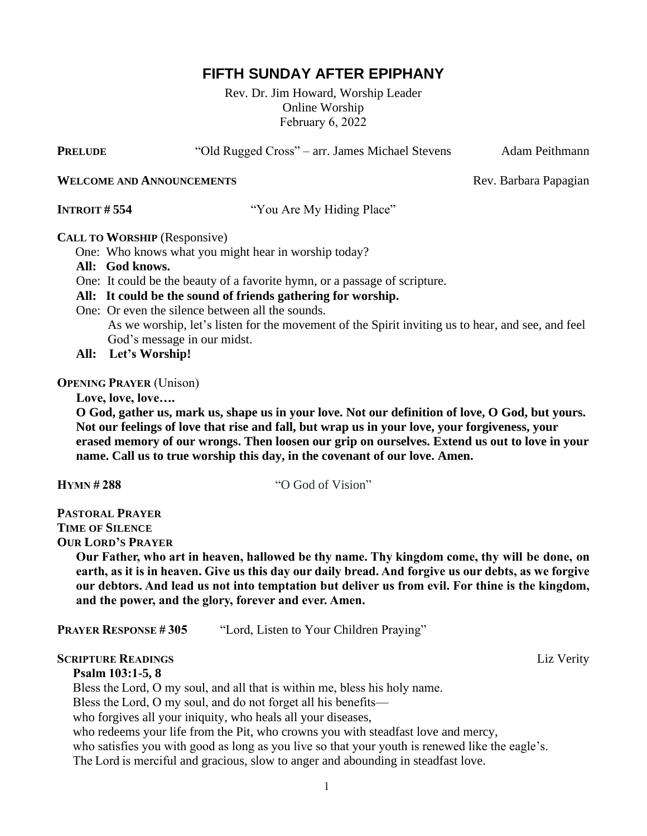# **FIFTH SUNDAY AFTER EPIPHANY**

Rev. Dr. Jim Howard, Worship Leader Online Worship February 6, 2022

**PRELUDE** "Old Rugged Cross" – arr. James Michael Stevens Adam Peithmann

**WELCOME AND ANNOUNCEMENTS** Rev. Barbara Papagian

**INTROIT # 554** "You Are My Hiding Place"

### **CALL TO WORSHIP** (Responsive)

One: Who knows what you might hear in worship today?

- **All: God knows.**
- One: It could be the beauty of a favorite hymn, or a passage of scripture.

## **All: It could be the sound of friends gathering for worship.**

One: Or even the silence between all the sounds.

 As we worship, let's listen for the movement of the Spirit inviting us to hear, and see, and feel God's message in our midst.

 **All: Let's Worship!**

**OPENING PRAYER** (Unison)

 **Love, love, love….**

 **O God, gather us, mark us, shape us in your love. Not our definition of love, O God, but yours. Not our feelings of love that rise and fall, but wrap us in your love, your forgiveness, your erased memory of our wrongs. Then loosen our grip on ourselves. Extend us out to love in your name. Call us to true worship this day, in the covenant of our love. Amen.**

**HYMN # 288** "O God of Vision"

**PASTORAL PRAYER TIME OF SILENCE**

**OUR LORD'S PRAYER**

**Our Father, who art in heaven, hallowed be thy name. Thy kingdom come, thy will be done, on** earth, as it is in heaven. Give us this day our daily bread. And forgive us our debts, as we forgive **our debtors. And lead us not into temptation but deliver us from evil. For thine is the kingdom, and the power, and the glory, forever and ever. Amen.**

**PRAYER RESPONSE # 305** "Lord, Listen to Your Children Praying"

## **SCRIPTURE READINGS** Liz Verity

 **Psalm 103:1-5, 8**

Bless the Lord, O my soul, and all that is within me, bless his holy name.

Bless the Lord, O my soul, and do not forget all his benefits—

who forgives all your iniquity, who heals all your diseases,

who redeems your life from the Pit, who crowns you with steadfast love and mercy,

who satisfies you with good as long as you live so that your youth is renewed like the eagle's.

The Lord is merciful and gracious, slow to anger and abounding in steadfast love.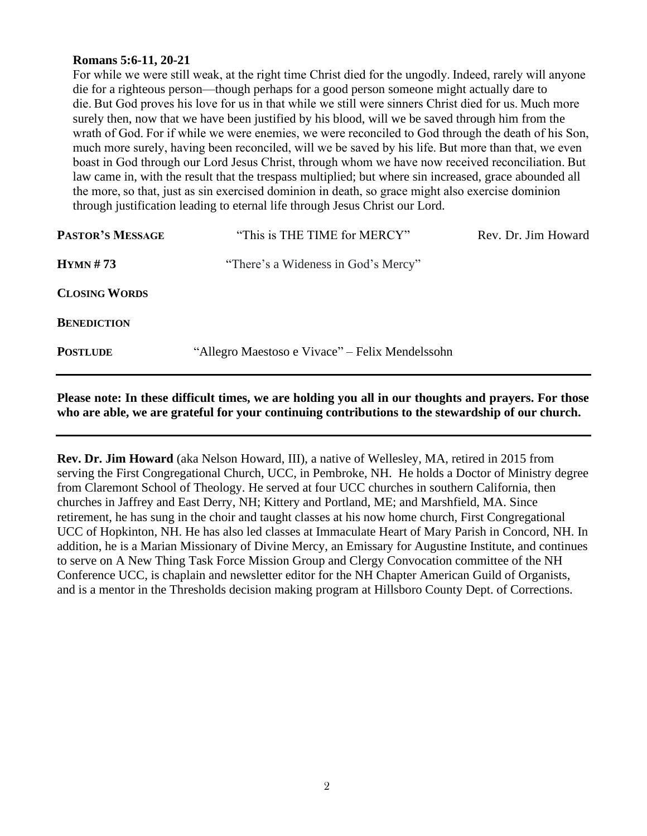#### **Romans 5:6-11, 20-21**

 For while we were still weak, at the right time Christ died for the ungodly. Indeed, rarely will anyone die for a righteous person—though perhaps for a good person someone might actually dare to die. But God proves his love for us in that while we still were sinners Christ died for us. Much more surely then, now that we have been justified by his blood, will we be saved through him from the wrath of God. For if while we were enemies, we were reconciled to God through the death of his Son, much more surely, having been reconciled, will we be saved by his life. But more than that, we even boast in God through our Lord Jesus Christ, through whom we have now received reconciliation. But law came in, with the result that the trespass multiplied; but where sin increased, grace abounded all the more, so that, just as sin exercised dominion in death, so grace might also exercise dominion through justification leading to eternal life through Jesus Christ our Lord.

| <b>PASTOR'S MESSAGE</b> | "This is THE TIME for MERCY"                    | Rev. Dr. Jim Howard |
|-------------------------|-------------------------------------------------|---------------------|
| HYMN#73                 | "There's a Wideness in God's Mercy"             |                     |
| <b>CLOSING WORDS</b>    |                                                 |                     |
| <b>BENEDICTION</b>      |                                                 |                     |
| <b>POSTLUDE</b>         | "Allegro Maestoso e Vivace" – Felix Mendelssohn |                     |

**Please note: In these difficult times, we are holding you all in our thoughts and prayers. For those who are able, we are grateful for your continuing contributions to the stewardship of our church.** 

**Rev. Dr. Jim Howard** (aka Nelson Howard, III), a native of Wellesley, MA, retired in 2015 from serving the First Congregational Church, UCC, in Pembroke, NH. He holds a Doctor of Ministry degree from Claremont School of Theology. He served at four UCC churches in southern California, then churches in Jaffrey and East Derry, NH; Kittery and Portland, ME; and Marshfield, MA. Since retirement, he has sung in the choir and taught classes at his now home church, First Congregational UCC of Hopkinton, NH. He has also led classes at Immaculate Heart of Mary Parish in Concord, NH. In addition, he is a Marian Missionary of Divine Mercy, an Emissary for Augustine Institute, and continues to serve on A New Thing Task Force Mission Group and Clergy Convocation committee of the NH Conference UCC, is chaplain and newsletter editor for the NH Chapter American Guild of Organists, and is a mentor in the Thresholds decision making program at Hillsboro County Dept. of Corrections.